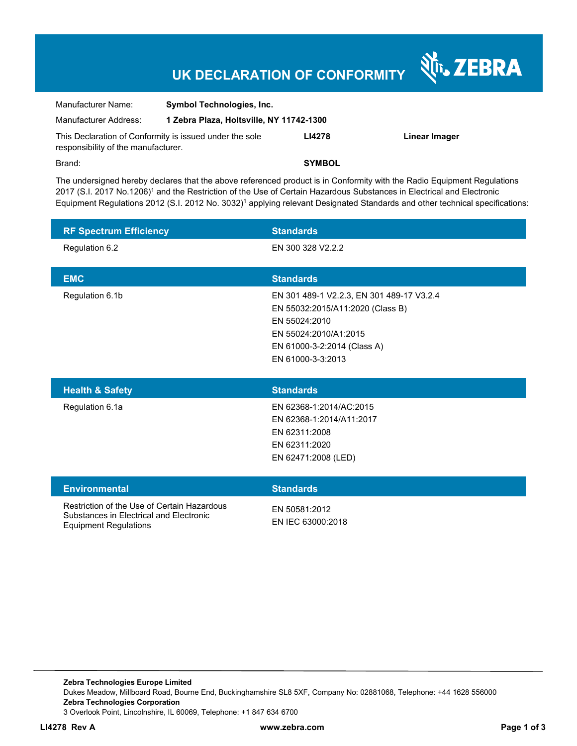## **UK DECLARATION OF CONFORMITY**

Nr. ZEBRA

| Manufacturer Name:                                                                             | <b>Symbol Technologies, Inc.</b>         |               |               |  |
|------------------------------------------------------------------------------------------------|------------------------------------------|---------------|---------------|--|
| Manufacturer Address:                                                                          | 1 Zebra Plaza, Holtsville, NY 11742-1300 |               |               |  |
| This Declaration of Conformity is issued under the sole<br>responsibility of the manufacturer. |                                          | <b>LI4278</b> | Linear Imager |  |
| Brand:                                                                                         |                                          | <b>SYMBOL</b> |               |  |

The undersigned hereby declares that the above referenced product is in Conformity with the Radio Equipment Regulations 2017 (S.I. 2017 No.1206)<sup>1</sup> and the Restriction of the Use of Certain Hazardous Substances in Electrical and Electronic Equipment Regulations 2012 (S.I. 2012 No. 3032)<sup>1</sup> applying relevant Designated Standards and other technical specifications:

| <b>RF Spectrum Efficiency</b> | <b>Standards</b>                          |
|-------------------------------|-------------------------------------------|
| Regulation 6.2                | EN 300 328 V2.2.2                         |
|                               |                                           |
| <b>EMC</b>                    | <b>Standards</b>                          |
| Regulation 6.1b               | EN 301 489-1 V2.2.3, EN 301 489-17 V3.2.4 |
|                               | EN 55032:2015/A11:2020 (Class B)          |
|                               | EN 55024:2010                             |
|                               | EN 55024:2010/A1:2015                     |
|                               | EN 61000-3-2:2014 (Class A)               |
|                               | EN 61000-3-3:2013                         |
|                               |                                           |
| <b>Health &amp; Safety</b>    | <b>Standards</b>                          |
| _                             |                                           |

| <b>Health &amp; Safety</b> | <b>Standards</b>         |
|----------------------------|--------------------------|
| Regulation 6.1a            | EN 62368-1:2014/AC:2015  |
|                            | EN 62368-1:2014/A11:2017 |
|                            | EN 62311:2008            |
|                            | EN 62311:2020            |
|                            | EN 62471:2008 (LED)      |
|                            |                          |

| <b>Environmental</b>                                                                                                   | <b>Standards</b>                   |
|------------------------------------------------------------------------------------------------------------------------|------------------------------------|
| Restriction of the Use of Certain Hazardous<br>Substances in Electrical and Electronic<br><b>Equipment Regulations</b> | EN 50581:2012<br>EN IEC 63000:2018 |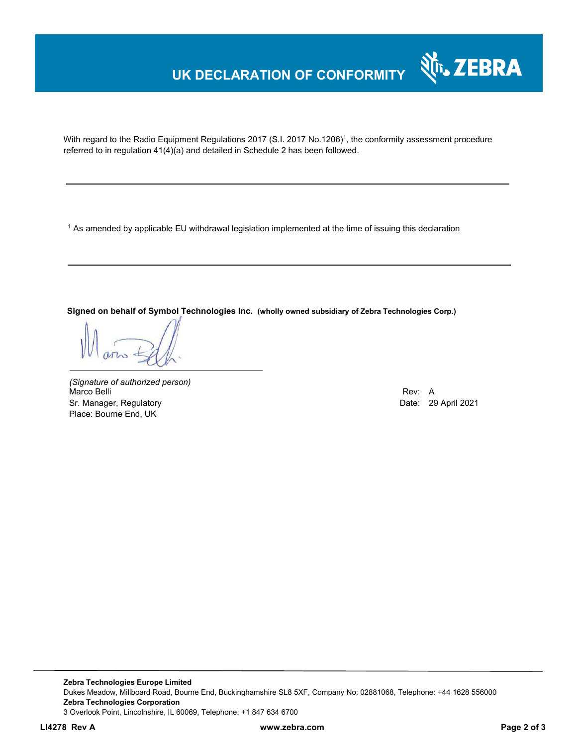### **UK DECLARATION OF CONFORMITY**



With regard to the Radio Equipment Regulations 2017 (S.I. 2017 No.1206)<sup>1</sup>, the conformity assessment procedure referred to in regulation 41(4)(a) and detailed in Schedule 2 has been followed.

1 As amended by applicable EU withdrawal legislation implemented at the time of issuing this declaration

**Signed on behalf of Symbol Technologies Inc. (wholly owned subsidiary of Zebra Technologies Corp.)**

*(Signature of authorized person)* Marco Belli Rev: A Sr. Manager, Regulatory **Date: 29 April 2021** Place: Bourne End, UK